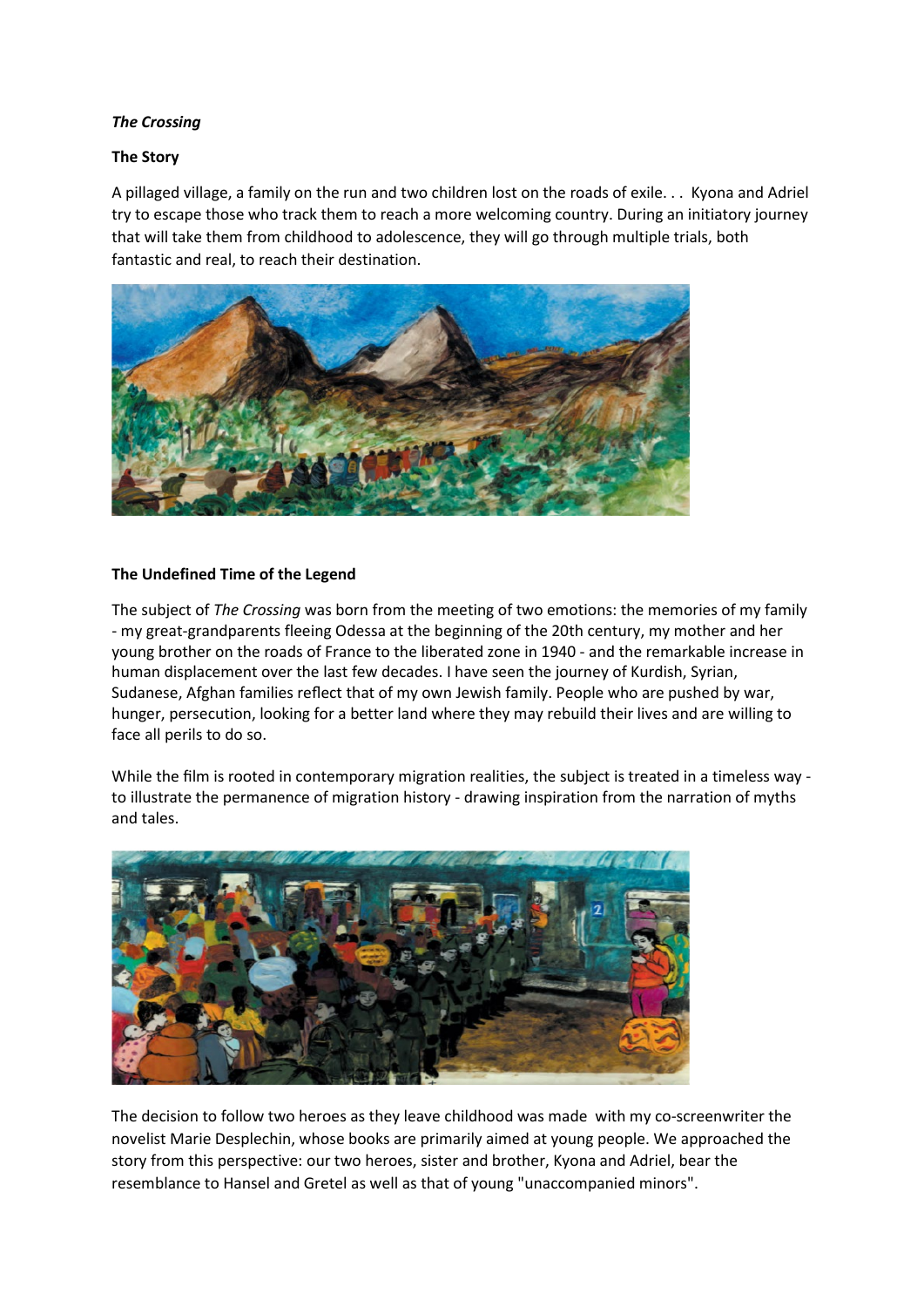# *The Crossing*

# **The Story**

A pillaged village, a family on the run and two children lost on the roads of exile. . . Kyona and Adriel try to escape those who track them to reach a more welcoming country. During an initiatory journey that will take them from childhood to adolescence, they will go through multiple trials, both fantastic and real, to reach their destination.



# **The Undefined Time of the Legend**

The subject of *The Crossing* was born from the meeting of two emotions: the memories of my family - my great-grandparents fleeing Odessa at the beginning of the 20th century, my mother and her young brother on the roads of France to the liberated zone in 1940 - and the remarkable increase in human displacement over the last few decades. I have seen the journey of Kurdish, Syrian, Sudanese, Afghan families reflect that of my own Jewish family. People who are pushed by war, hunger, persecution, looking for a better land where they may rebuild their lives and are willing to face all perils to do so.

While the film is rooted in contemporary migration realities, the subject is treated in a timeless way to illustrate the permanence of migration history - drawing inspiration from the narration of myths and tales.



The decision to follow two heroes as they leave childhood was made with my co-screenwriter the novelist Marie Desplechin, whose books are primarily aimed at young people. We approached the story from this perspective: our two heroes, sister and brother, Kyona and Adriel, bear the resemblance to Hansel and Gretel as well as that of young "unaccompanied minors".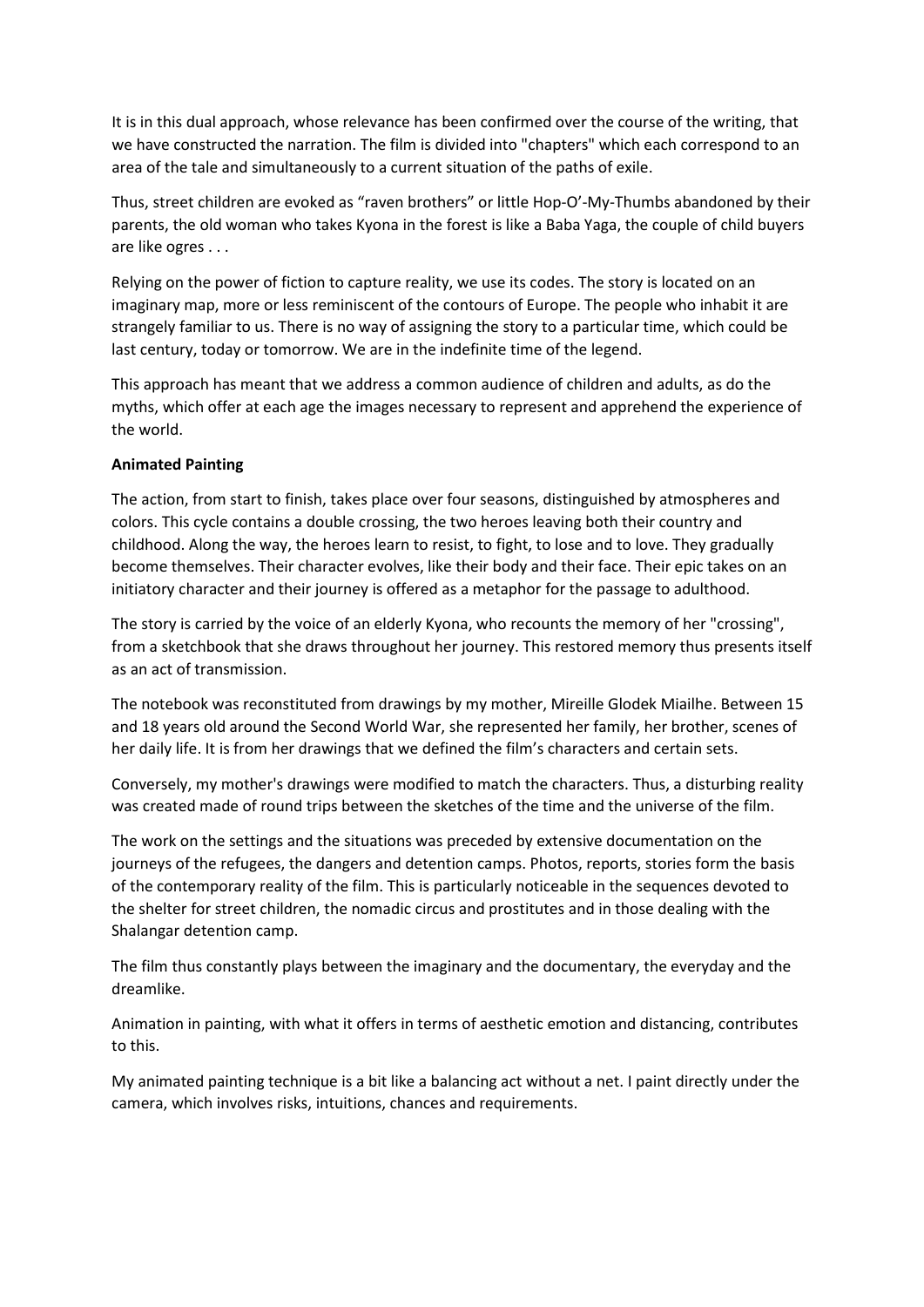It is in this dual approach, whose relevance has been confirmed over the course of the writing, that we have constructed the narration. The film is divided into "chapters" which each correspond to an area of the tale and simultaneously to a current situation of the paths of exile.

Thus, street children are evoked as "raven brothers" or little Hop-O'-My-Thumbs abandoned by their parents, the old woman who takes Kyona in the forest is like a Baba Yaga, the couple of child buyers are like ogres . . .

Relying on the power of fiction to capture reality, we use its codes. The story is located on an imaginary map, more or less reminiscent of the contours of Europe. The people who inhabit it are strangely familiar to us. There is no way of assigning the story to a particular time, which could be last century, today or tomorrow. We are in the indefinite time of the legend.

This approach has meant that we address a common audience of children and adults, as do the myths, which offer at each age the images necessary to represent and apprehend the experience of the world.

## **Animated Painting**

The action, from start to finish, takes place over four seasons, distinguished by atmospheres and colors. This cycle contains a double crossing, the two heroes leaving both their country and childhood. Along the way, the heroes learn to resist, to fight, to lose and to love. They gradually become themselves. Their character evolves, like their body and their face. Their epic takes on an initiatory character and their journey is offered as a metaphor for the passage to adulthood.

The story is carried by the voice of an elderly Kyona, who recounts the memory of her "crossing", from a sketchbook that she draws throughout her journey. This restored memory thus presents itself as an act of transmission.

The notebook was reconstituted from drawings by my mother, Mireille Glodek Miailhe. Between 15 and 18 years old around the Second World War, she represented her family, her brother, scenes of her daily life. It is from her drawings that we defined the film's characters and certain sets.

Conversely, my mother's drawings were modified to match the characters. Thus, a disturbing reality was created made of round trips between the sketches of the time and the universe of the film.

The work on the settings and the situations was preceded by extensive documentation on the journeys of the refugees, the dangers and detention camps. Photos, reports, stories form the basis of the contemporary reality of the film. This is particularly noticeable in the sequences devoted to the shelter for street children, the nomadic circus and prostitutes and in those dealing with the Shalangar detention camp.

The film thus constantly plays between the imaginary and the documentary, the everyday and the dreamlike.

Animation in painting, with what it offers in terms of aesthetic emotion and distancing, contributes to this.

My animated painting technique is a bit like a balancing act without a net. I paint directly under the camera, which involves risks, intuitions, chances and requirements.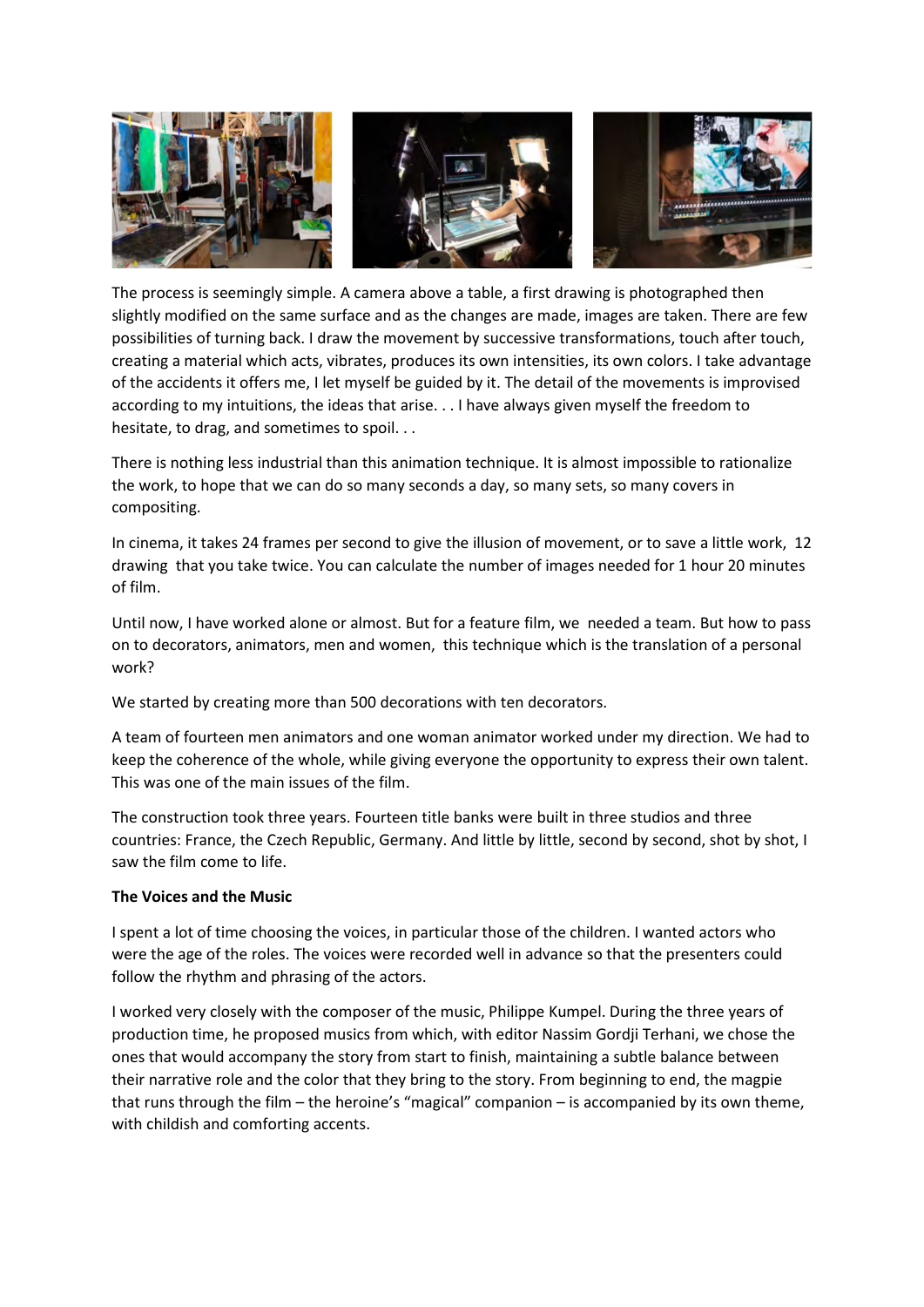

The process is seemingly simple. A camera above a table, a first drawing is photographed then slightly modified on the same surface and as the changes are made, images are taken. There are few possibilities of turning back. I draw the movement by successive transformations, touch after touch, creating a material which acts, vibrates, produces its own intensities, its own colors. I take advantage of the accidents it offers me, I let myself be guided by it. The detail of the movements is improvised according to my intuitions, the ideas that arise. . . I have always given myself the freedom to hesitate, to drag, and sometimes to spoil. . .

There is nothing less industrial than this animation technique. It is almost impossible to rationalize the work, to hope that we can do so many seconds a day, so many sets, so many covers in compositing.

In cinema, it takes 24 frames per second to give the illusion of movement, or to save a little work, 12 drawing that you take twice. You can calculate the number of images needed for 1 hour 20 minutes of film.

Until now, I have worked alone or almost. But for a feature film, we needed a team. But how to pass on to decorators, animators, men and women, this technique which is the translation of a personal work?

We started by creating more than 500 decorations with ten decorators.

A team of fourteen men animators and one woman animator worked under my direction. We had to keep the coherence of the whole, while giving everyone the opportunity to express their own talent. This was one of the main issues of the film.

The construction took three years. Fourteen title banks were built in three studios and three countries: France, the Czech Republic, Germany. And little by little, second by second, shot by shot, I saw the film come to life.

# **The Voices and the Music**

I spent a lot of time choosing the voices, in particular those of the children. I wanted actors who were the age of the roles. The voices were recorded well in advance so that the presenters could follow the rhythm and phrasing of the actors.

I worked very closely with the composer of the music, Philippe Kumpel. During the three years of production time, he proposed musics from which, with editor Nassim Gordji Terhani, we chose the ones that would accompany the story from start to finish, maintaining a subtle balance between their narrative role and the color that they bring to the story. From beginning to end, the magpie that runs through the film – the heroine's "magical" companion – is accompanied by its own theme, with childish and comforting accents.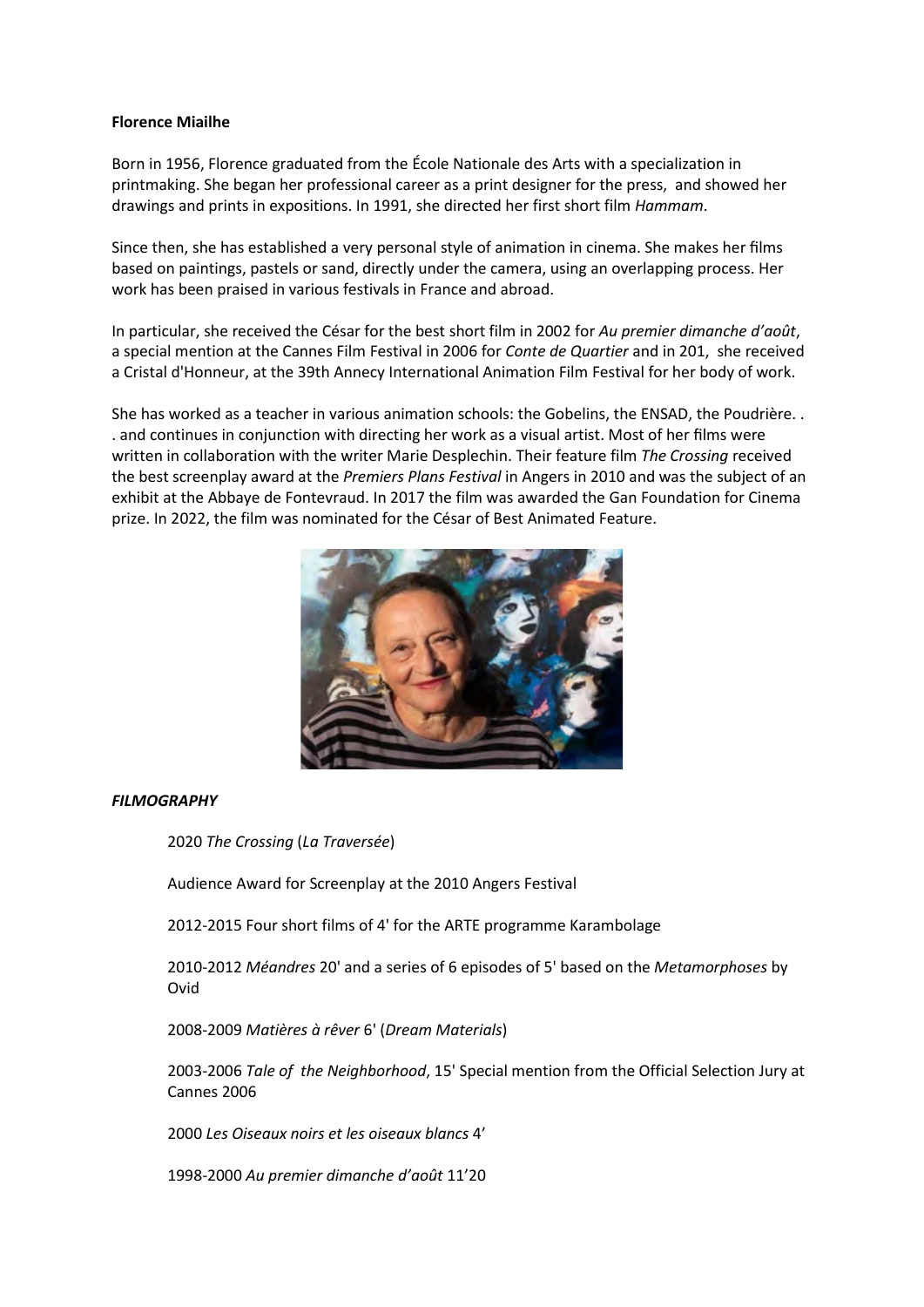### **Florence Miailhe**

Born in 1956, Florence graduated from the École Nationale des Arts with a specialization in printmaking. She began her professional career as a print designer for the press, and showed her drawings and prints in expositions. In 1991, she directed her first short film *Hammam*.

Since then, she has established a very personal style of animation in cinema. She makes her films based on paintings, pastels or sand, directly under the camera, using an overlapping process. Her work has been praised in various festivals in France and abroad.

In particular, she received the César for the best short film in 2002 for *Au premier dimanche d'août*, a special mention at the Cannes Film Festival in 2006 for *Conte de Quartier* and in 201, she received a Cristal d'Honneur, at the 39th Annecy International Animation Film Festival for her body of work.

She has worked as a teacher in various animation schools: the Gobelins, the ENSAD, the Poudrière. . . and continues in conjunction with directing her work as a visual artist. Most of her films were written in collaboration with the writer Marie Desplechin. Their feature film *The Crossing* received the best screenplay award at the *Premiers Plans Festival* in Angers in 2010 and was the subject of an exhibit at the Abbaye de Fontevraud. In 2017 the film was awarded the Gan Foundation for Cinema prize. In 2022, the film was nominated for the César of Best Animated Feature.



## *FILMOGRAPHY*

2020 *The Crossing* (*La Traversée*)

Audience Award for Screenplay at the 2010 Angers Festival

2012-2015 Four short films of 4' for the ARTE programme Karambolage

2010-2012 *Méandres* 20' and a series of 6 episodes of 5' based on the *Metamorphoses* by Ovid

2008-2009 *Matières à rêver* 6' (*Dream Materials*)

2003-2006 *Tale of the Neighborhood*, 15' Special mention from the Official Selection Jury at Cannes 2006

2000 *Les Oiseaux noirs et les oiseaux blancs* 4'

1998-2000 *Au premier dimanche d'août* 11'20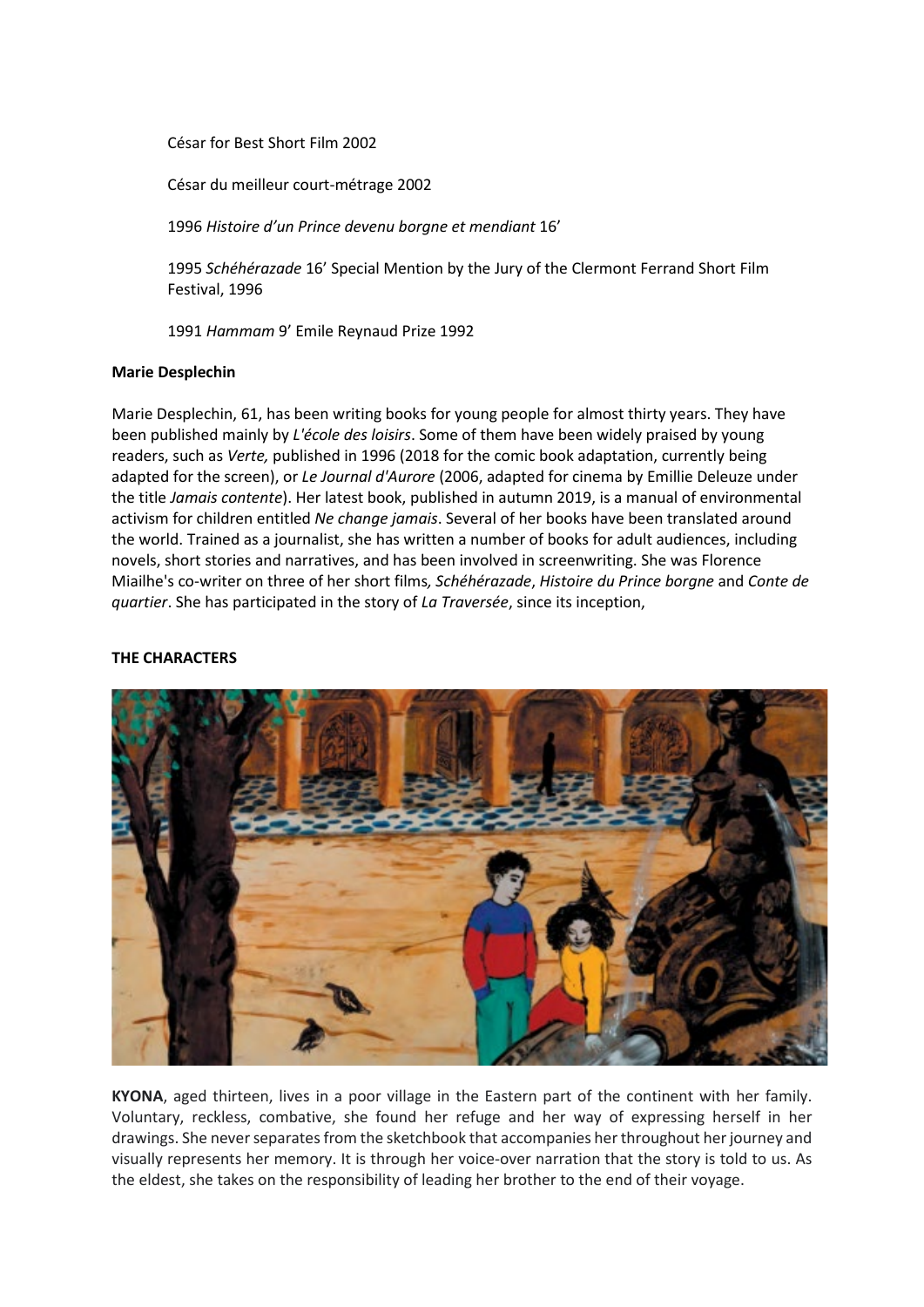César for Best Short Film 2002

César du meilleur court-métrage 2002

1996 *Histoire d'un Prince devenu borgne et mendiant* 16'

1995 *Schéhérazade* 16' Special Mention by the Jury of the Clermont Ferrand Short Film Festival, 1996

1991 *Hammam* 9' Emile Reynaud Prize 1992

### **Marie Desplechin**

Marie Desplechin, 61, has been writing books for young people for almost thirty years. They have been published mainly by *L'école des loisirs*. Some of them have been widely praised by young readers, such as *Verte,* published in 1996 (2018 for the comic book adaptation, currently being adapted for the screen), or *Le Journal d'Aurore* (2006, adapted for cinema by Emillie Deleuze under the title *Jamais contente*). Her latest book, published in autumn 2019, is a manual of environmental activism for children entitled *Ne change jamais*. Several of her books have been translated around the world. Trained as a journalist, she has written a number of books for adult audiences, including novels, short stories and narratives, and has been involved in screenwriting. She was Florence Miailhe's co-writer on three of her short films*, Schéhérazade*, *Histoire du Prince borgne* and *Conte de quartier*. She has participated in the story of *La Traversée*, since its inception,

# **THE CHARACTERS**



**KYONA**, aged thirteen, lives in a poor village in the Eastern part of the continent with her family. Voluntary, reckless, combative, she found her refuge and her way of expressing herself in her drawings. She never separates from the sketchbook that accompanies her throughout her journey and visually represents her memory. It is through her voice-over narration that the story is told to us. As the eldest, she takes on the responsibility of leading her brother to the end of their voyage.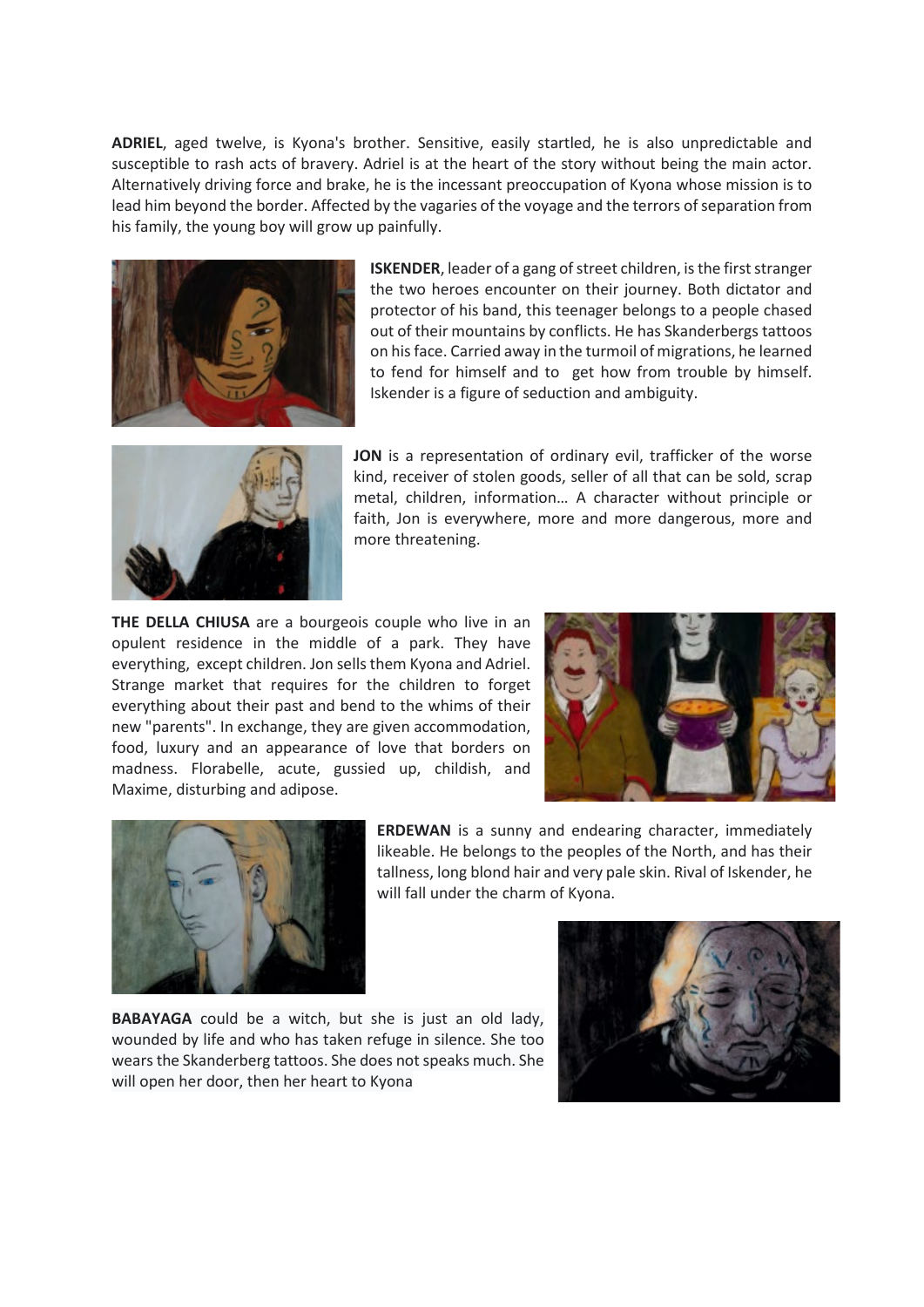**ADRIEL**, aged twelve, is Kyona's brother. Sensitive, easily startled, he is also unpredictable and susceptible to rash acts of bravery. Adriel is at the heart of the story without being the main actor. Alternatively driving force and brake, he is the incessant preoccupation of Kyona whose mission is to lead him beyond the border. Affected by the vagaries of the voyage and the terrors of separation from his family, the young boy will grow up painfully.



**ISKENDER**, leader of a gang of street children, is the first stranger the two heroes encounter on their journey. Both dictator and protector of his band, this teenager belongs to a people chased out of their mountains by conflicts. He has Skanderbergs tattoos on his face. Carried away in the turmoil of migrations, he learned to fend for himself and to get how from trouble by himself. Iskender is a figure of seduction and ambiguity.



**JON** is a representation of ordinary evil, trafficker of the worse kind, receiver of stolen goods, seller of all that can be sold, scrap metal, children, information… A character without principle or faith, Jon is everywhere, more and more dangerous, more and more threatening.

**THE DELLA CHIUSA** are a bourgeois couple who live in an opulent residence in the middle of a park. They have everything, except children. Jon sells them Kyona and Adriel. Strange market that requires for the children to forget everything about their past and bend to the whims of their new "parents". In exchange, they are given accommodation, food, luxury and an appearance of love that borders on madness. Florabelle, acute, gussied up, childish, and Maxime, disturbing and adipose.





**ERDEWAN** is a sunny and endearing character, immediately likeable. He belongs to the peoples of the North, and has their tallness, long blond hair and very pale skin. Rival of Iskender, he will fall under the charm of Kyona.

**BABAYAGA** could be a witch, but she is just an old lady, wounded by life and who has taken refuge in silence. She too wears the Skanderberg tattoos. She does not speaks much. She will open her door, then her heart to Kyona